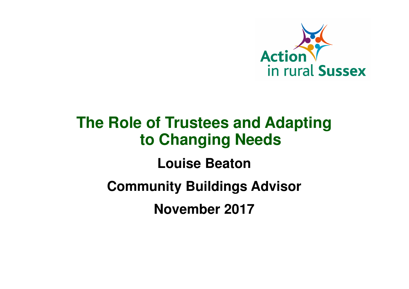

# **The Role of Trustees and Adapting to Changing Needs**

**Louise Beaton**

**Community Buildings Advisor**

**November 2017**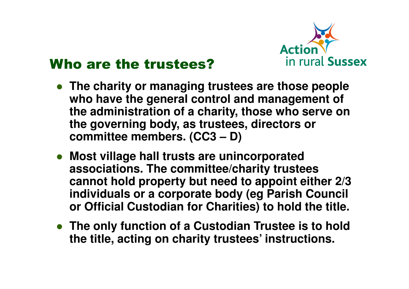

#### Who are the trustees?

- **The charity or managing trustees are those people who have the general control and management of the administration of a charity, those who serve onthe governing body, as trustees, directors or committee members. (CC3 – D)**
- **Most village hall trusts are unincorporated associations. The committee/charity trustees cannot hold property but need to appoint either 2/3 individuals or a corporate body (eg Parish Council or Official Custodian for Charities) to hold the title.**
- **The only function of a Custodian Trustee is to holdthe title, acting on charity trustees' instructions.**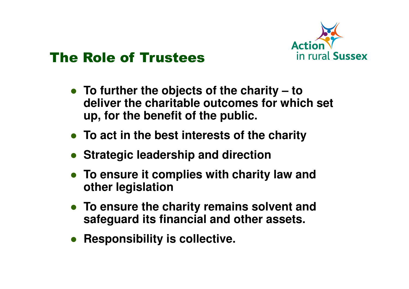

#### The Role of Trustees

- **To further the objects of the charity – to deliver the charitable outcomes for which set up, for the benefit of the public.**
- **To act in the best interests of the charity**
- **Strategic leadership and direction**
- **To ensure it complies with charity law and other legislation**
- **To ensure the charity remains solvent and safeguard its financial and other assets.**
- **Responsibility is collective.**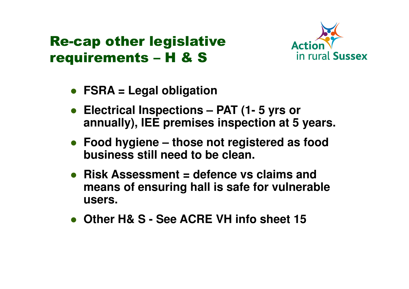#### Re-cap other legislative requirements – H & S



- **FSRA = Legal obligation**
- **Electrical Inspections – PAT (1- 5 yrs or annually), IEE premises inspection at 5 years.**
- **Food hygiene – those not registered as food business still need to be clean.**
- **Risk Assessment = defence vs claims and means of ensuring hall is safe for vulnerable users.**
- **Other H& S - See ACRE VH info sheet 15**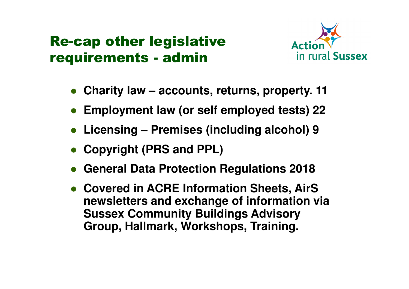#### Re-cap other legislative requirements - admin



- $\bullet$ **Charity law – accounts, returns, property. 11**
- **Employment law (or self employed tests) 22**
- **Licensing – Premises (including alcohol) 9**
- **Copyright (PRS and PPL)**
- $\bullet$ **General Data Protection Regulations 2018**
- **Covered in ACRE Information Sheets, AirS newsletters and exchange of information via Sussex Community Buildings Advisory Group, Hallmark, Workshops, Training.**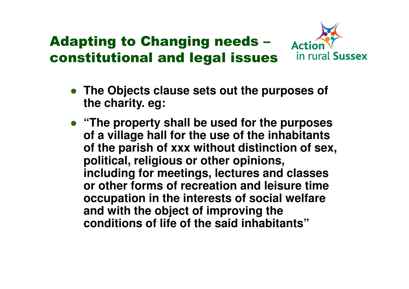# Adapting to Changing needs –constitutional and legal issues



- **The Objects clause sets out the purposes of the charity. eg:**
- **"The property shall be used for the purposes of a village hall for the use of the inhabitants of the parish of xxx without distinction of sex, political, religious or other opinions, including for meetings, lectures and classes or other forms of recreation and leisure time occupation in the interests of social welfare and with the object of improving the conditions of life of the said inhabitants"**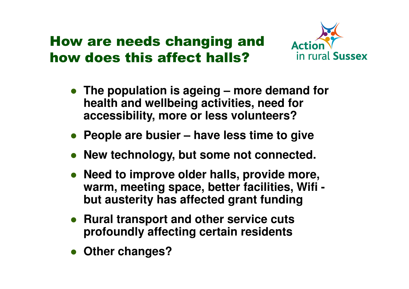#### How are needs changing and how does this affect halls?



- **The population is ageing – more demand for health and wellbeing activities, need for accessibility, more or less volunteers?**
- **People are busier – have less time to give**
- **New technology, but some not connected.**
- **Need to improve older halls, provide more, warm, meeting space, better facilities, Wifi but austerity has affected grant funding**
- **Rural transport and other service cuts profoundly affecting certain residents**
- **Other changes?**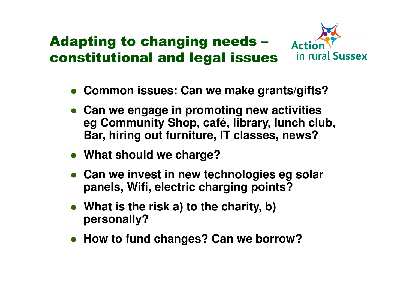## Adapting to changing needs –constitutional and legal issues



- **Common issues: Can we make grants/gifts?**
- **Can we engage in promoting new activities eg Community Shop, café, library, lunch club, Bar, hiring out furniture, IT classes, news?**
- **What should we charge?**
- **Can we invest in new technologies eg solar panels, Wifi, electric charging points?**
- **What is the risk a) to the charity, b) personally?**
- **How to fund changes? Can we borrow?**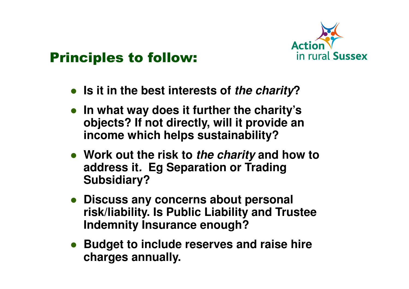

#### Principles to follow:

- **Is it in the best interests of the charity?**
- **In what way does it further the charity's objects? If not directly, will it provide an income which helps sustainability?**
- **Work out the risk to the charity and how to address it. Eg Separation or Trading Subsidiary?**
- **Discuss any concerns about personal risk/liability. Is Public Liability and Trustee Indemnity Insurance enough?**
- **Budget to include reserves and raise hire charges annually.**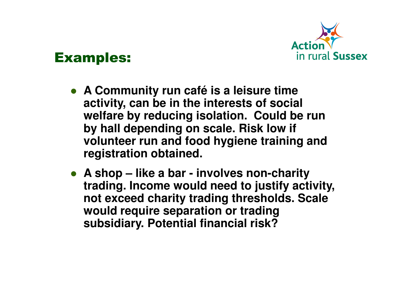

#### Examples:

- **A Community run café is a leisure time activity, can be in the interests of social welfare by reducing isolation. Could be run by hall depending on scale. Risk low if volunteer run and food hygiene training and registration obtained.**
- **A shop – like a bar - involves non-charity trading. Income would need to justify activity, not exceed charity trading thresholds. Scale would require separation or trading subsidiary. Potential financial risk?**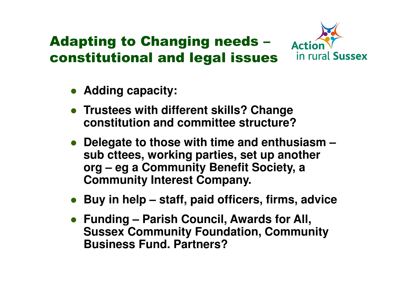# Adapting to Changing needs –constitutional and legal issues



- **Adding capacity:**
- **Trustees with different skills? Change constitution and committee structure?**
- **Delegate to those with time and enthusiasm – sub cttees, working parties, set up another org – eg a Community Benefit Society, a Community Interest Company.**
- **Buy in help – staff, paid officers, firms, advice**
- **Funding – Parish Council, Awards for All, Sussex Community Foundation, Community Business Fund. Partners?**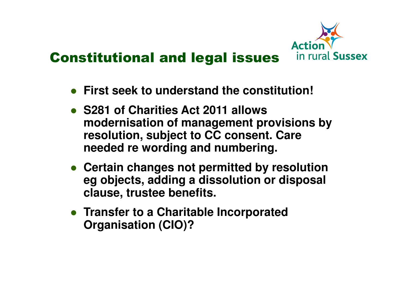

#### Constitutional and legal issues

- **First seek to understand the constitution!**
- **S281 of Charities Act 2011 allows modernisation of management provisions by resolution, subject to CC consent. Care needed re wording and numbering.**
- **Certain changes not permitted by resolution eg objects, adding a dissolution or disposal clause, trustee benefits.**
- **Transfer to a Charitable Incorporated Organisation (CIO)?**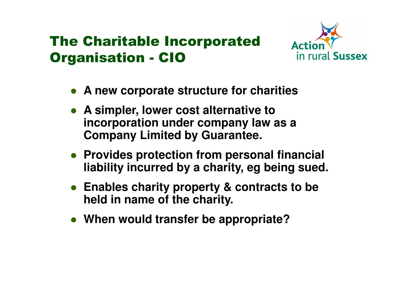## The Charitable Incorporated Organisation - CIO



- **A new corporate structure for charities**
- **A simpler, lower cost alternative to incorporation under company law as a Company Limited by Guarantee.**
- **Provides protection from personal financial liability incurred by a charity, eg being sued.**
- **Enables charity property & contracts to be held in name of the charity.**
- **When would transfer be appropriate?**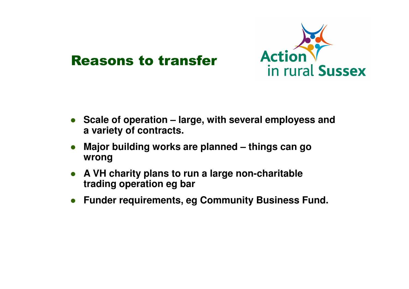

#### Reasons to transfer

- **Scale of operation – large, with several employess and a variety of contracts.**
- **Major building works are planned – things can go wrong**
- **A VH charity plans to run a large non-charitable trading operation eg bar**
- **Funder requirements, eg Community Business Fund.**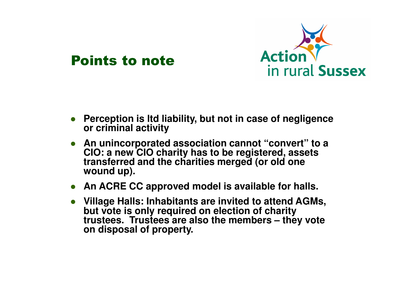



- $\bullet$  **Perception is ltd liability, but not in case of negligence or criminal activity**
- **An unincorporated association cannot "convert" to a CIO: a new CIO charity has to be registered, assetstransferred and the charities merged (or old one wound up).**
- **An ACRE CC approved model is available for halls.**
- **Village Halls: Inhabitants are invited to attend AGMs, but vote is only required on election of charity trustees. Trustees are also the members – they voteon disposal of property.**